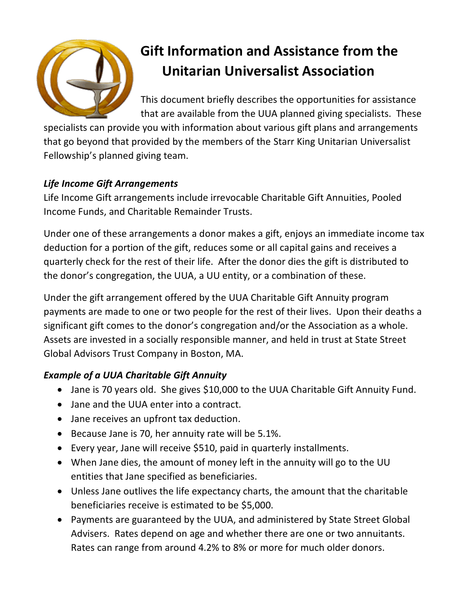

# **Gift Information and Assistance from the Unitarian Universalist Association**

This document briefly describes the opportunities for assistance that are available from the UUA planned giving specialists. These

specialists can provide you with information about various gift plans and arrangements that go beyond that provided by the members of the Starr King Unitarian Universalist Fellowship's planned giving team.

## *Life Income Gift Arrangements*

Life Income Gift arrangements include irrevocable Charitable Gift Annuities, Pooled Income Funds, and Charitable Remainder Trusts.

Under one of these arrangements a donor makes a gift, enjoys an immediate income tax deduction for a portion of the gift, reduces some or all capital gains and receives a quarterly check for the rest of their life. After the donor dies the gift is distributed to the donor's congregation, the UUA, a UU entity, or a combination of these.

Under the gift arrangement offered by the UUA Charitable Gift Annuity program payments are made to one or two people for the rest of their lives. Upon their deaths a significant gift comes to the donor's congregation and/or the Association as a whole. Assets are invested in a socially responsible manner, and held in trust at State Street Global Advisors Trust Company in Boston, MA.

### *Example of a UUA Charitable Gift Annuity*

- Jane is 70 years old. She gives \$10,000 to the UUA Charitable Gift Annuity Fund.
- Jane and the UUA enter into a contract.
- Jane receives an upfront tax deduction.
- Because Jane is 70, her annuity rate will be 5.1%.
- Every year, Jane will receive \$510, paid in quarterly installments.
- When Jane dies, the amount of money left in the annuity will go to the UU entities that Jane specified as beneficiaries.
- Unless Jane outlives the life expectancy charts, the amount that the charitable beneficiaries receive is estimated to be \$5,000.
- Payments are guaranteed by the UUA, and administered by State Street Global Advisers. Rates depend on age and whether there are one or two annuitants. Rates can range from around 4.2% to 8% or more for much older donors.